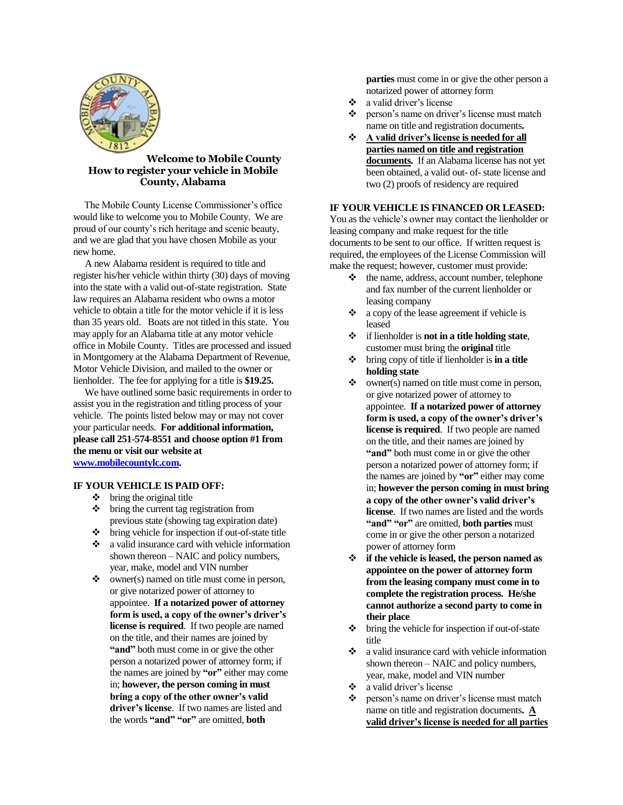

### **Welcome to Mobile County How to register your vehicle in Mobile County, Alabama**

 The Mobile County License Commissioner's office would like to welcome you to Mobile County. We are proud of our county's rich heritage and scenic beauty, and we are glad that you have chosen Mobile as your new home.

 A new Alabama resident is required to title and register his/her vehicle within thirty (30) days of moving into the state with a valid out-of-state registration. State law requires an Alabama resident who owns a motor vehicle to obtain a title for the motor vehicle if it is less than 35 years old. Boats are not titled in this state. You may apply for an Alabama title at any motor vehicle office in Mobile County. Titles are processed and issued in Montgomery at the Alabama Department of Revenue, Motor Vehicle Division, and mailed to the owner or lienholder. The fee for applying for a title is **\$19.25.**

 We have outlined some basic requirements in order to assist you in the registration and titling process of your vehicle. The points listed below may or may not cover your particular needs. **For additional information, please call 251-574-8551 and choose option #1 from the menu or visit our website at [www.mobilecountylc.com.](http://www.mobilecountylc.com/)**

#### **IF YOUR VEHICLE IS PAID OFF:**

- $\div$  bring the original title
- bring the current tag registration from previous state (showing tag expiration date)
- bring vehicle for inspection if out-of-state title
- a valid insurance card with vehicle information shown thereon – NAIC and policy numbers, year, make, model and VIN number
- owner(s) named on title must come in person, or give notarized power of attorney to appointee. **If a notarized power of attorney form is used, a copy of the owner's driver's license is required**. If two people are named on the title, and their names are joined by **"and"** both must come in or give the other person a notarized power of attorney form; if the names are joined by **"or"** either may come in; **however, the person coming in must bring a copy of the other owner's valid driver's license**. If two names are listed and the words **"and" "or"** are omitted, **both**

**parties** must come in or give the other person a notarized power of attorney form

- a valid driver's license
- person's name on driver's license must match name on title and registration documents**.**
- **A valid driver's license is needed for all parties named on title and registration documents.** If an Alabama license has not yet been obtained, a valid out- of- state license and two (2) proofs of residency are required

# **IF YOUR VEHICLE IS FINANCED OR LEASED:**

You as the vehicle's owner may contact the lienholder or leasing company and make request for the title documents to be sent to our office. If written request is required, the employees of the License Commission will make the request; however, customer must provide:

- $\triangleleft$  the name, address, account number, telephone and fax number of the current lienholder or leasing company
- $\bullet$  a copy of the lease agreement if vehicle is leased
- if lienholder is **not in a title holding state**, customer must bring the **original** title
- bring copy of title if lienholder is **in a title holding state**
- $\dots$  owner(s) named on title must come in person, or give notarized power of attorney to appointee. **If a notarized power of attorney form is used, a copy of the owner's driver's license is required**. If two people are named on the title, and their names are joined by **"and"** both must come in or give the other person a notarized power of attorney form; if the names are joined by **"or"** either may come in; **however the person coming in must bring a copy of the other owner's valid driver's license**. If two names are listed and the words **"and" "or"** are omitted, **both parties** must come in or give the other person a notarized power of attorney form
- **if the vehicle is leased, the person named as appointee on the power of attorney form from the leasing company must come in to complete the registration process. He/she cannot authorize a second party to come in their place**
- $\diamond$  bring the vehicle for inspection if out-of-state title
- $\cdot$  a valid insurance card with vehicle information shown thereon – NAIC and policy numbers, year, make, model and VIN number
- $\bullet$  a valid driver's license
- \* person's name on driver's license must match name on title and registration documents**. A valid driver's license is needed for all parties**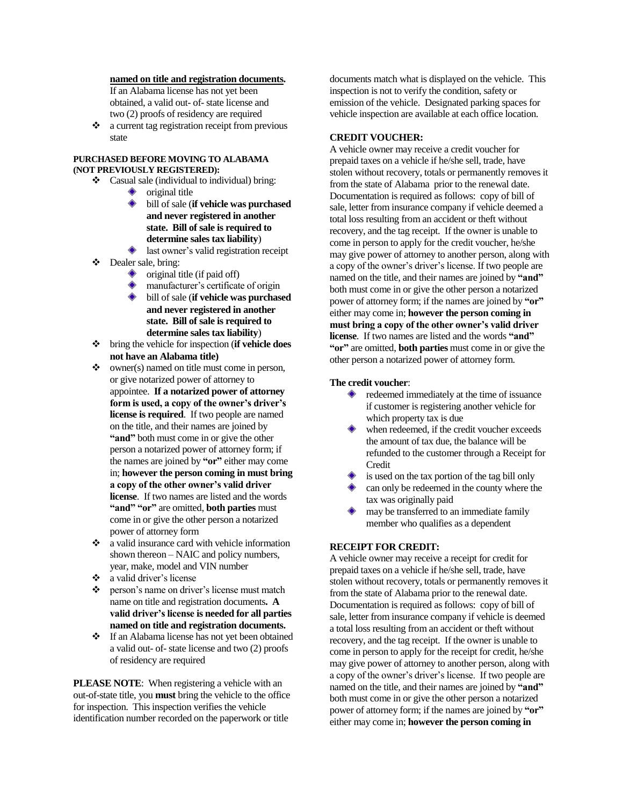## **named on title and registration documents.**

If an Alabama license has not yet been obtained, a valid out- of- state license and two (2) proofs of residency are required

 $\bullet$  a current tag registration receipt from previous state

#### **PURCHASED BEFORE MOVING TO ALABAMA (NOT PREVIOUSLY REGISTERED):**

- $\triangleleft$  Casual sale (individual to individual) bring:
	- ◈ original title
		- bill of sale (**if vehicle was purchased and never registered in another state. Bill of sale is required to determine sales tax liability**)
	- last owner's valid registration receipt
- Dealer sale, bring:
	- original title (if paid off) ◆
	- **warehouse** manufacturer's certificate of origin
	- bill of sale (**if vehicle was purchased and never registered in another state. Bill of sale is required to determine sales tax liability**)
- bring the vehicle for inspection (**if vehicle does not have an Alabama title)**
- owner(s) named on title must come in person, or give notarized power of attorney to appointee. **If a notarized power of attorney form is used, a copy of the owner's driver's license is required**. If two people are named on the title, and their names are joined by **"and"** both must come in or give the other person a notarized power of attorney form; if the names are joined by **"or"** either may come in; **however the person coming in must bring a copy of the other owner's valid driver license**. If two names are listed and the words **"and" "or"** are omitted, **both parties** must come in or give the other person a notarized power of attorney form
- a valid insurance card with vehicle information shown thereon – NAIC and policy numbers, year, make, model and VIN number
- $\bullet$  a valid driver's license<br>  $\bullet$  person's name on drive
- person's name on driver's license must match name on title and registration documents**. A valid driver's license is needed for all parties named on title and registration documents.**
- If an Alabama license has not yet been obtained a valid out- of- state license and two (2) proofs of residency are required

**PLEASE NOTE:** When registering a vehicle with an out-of-state title, you **must** bring the vehicle to the office for inspection. This inspection verifies the vehicle identification number recorded on the paperwork or title

documents match what is displayed on the vehicle. This inspection is not to verify the condition, safety or emission of the vehicle. Designated parking spaces for vehicle inspection are available at each office location.

### **CREDIT VOUCHER:**

A vehicle owner may receive a credit voucher for prepaid taxes on a vehicle if he/she sell, trade, have stolen without recovery, totals or permanently removes it from the state of Alabama prior to the renewal date. Documentation is required as follows: copy of bill of sale, letter from insurance company if vehicle deemed a total loss resulting from an accident or theft without recovery, and the tag receipt. If the owner is unable to come in person to apply for the credit voucher, he/she may give power of attorney to another person, along with a copy of the owner's driver's license. If two people are named on the title, and their names are joined by **"and"** both must come in or give the other person a notarized power of attorney form; if the names are joined by **"or"** either may come in; **however the person coming in must bring a copy of the other owner's valid driver license**. If two names are listed and the words **"and" "or"** are omitted, **both parties** must come in or give the other person a notarized power of attorney form.

#### **The credit voucher**:

- redeemed immediately at the time of issuance if customer is registering another vehicle for which property tax is due
- when redeemed, if the credit voucher exceeds the amount of tax due, the balance will be refunded to the customer through a Receipt for Credit
- is used on the tax portion of the tag bill only
- can only be redeemed in the county where the tax was originally paid
- may be transferred to an immediate family member who qualifies as a dependent

### **RECEIPT FOR CREDIT:**

A vehicle owner may receive a receipt for credit for prepaid taxes on a vehicle if he/she sell, trade, have stolen without recovery, totals or permanently removes it from the state of Alabama prior to the renewal date. Documentation is required as follows: copy of bill of sale, letter from insurance company if vehicle is deemed a total loss resulting from an accident or theft without recovery, and the tag receipt. If the owner is unable to come in person to apply for the receipt for credit, he/she may give power of attorney to another person, along with a copy of the owner's driver's license. If two people are named on the title, and their names are joined by **"and"** both must come in or give the other person a notarized power of attorney form; if the names are joined by **"or"** either may come in; **however the person coming in**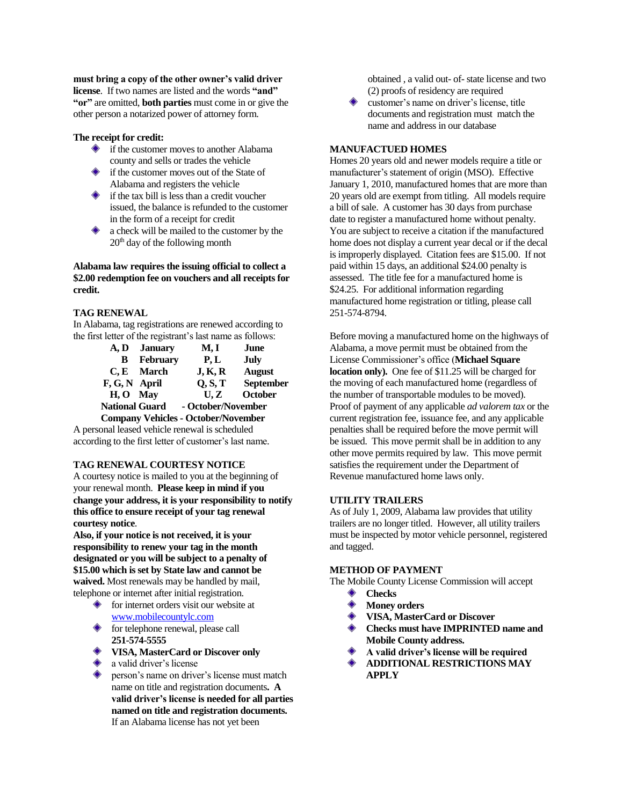**must bring a copy of the other owner's valid driver license**. If two names are listed and the words **"and" "or"** are omitted, **both parties** must come in or give the other person a notarized power of attorney form.

#### **The receipt for credit:**

- $\diamond$  if the customer moves to another Alabama county and sells or trades the vehicle
- if the customer moves out of the State of Alabama and registers the vehicle
- $\bullet$  if the tax bill is less than a credit voucher issued, the balance is refunded to the customer in the form of a receipt for credit
- a check will be mailed to the customer by the 20<sup>th</sup> day of the following month

**Alabama law requires the issuing official to collect a \$2.00 redemption fee on vouchers and all receipts for credit.**

### **TAG RENEWAL**

In Alabama, tag registrations are renewed according to the first letter of the registrant's last name as follows:

|                                            | A, D January                                | M, I    | June             |
|--------------------------------------------|---------------------------------------------|---------|------------------|
| B                                          | <b>February</b>                             | P, L    | July             |
|                                            | C.E. March                                  | J, K, R | August           |
| F, G, N April                              |                                             | Q, S, T | <b>September</b> |
| $H, O$ May                                 |                                             | U.Z     | October          |
|                                            | <b>National Guard</b><br>- October/November |         |                  |
| <b>Company Vehicles - October/November</b> |                                             |         |                  |

A personal leased vehicle renewal is scheduled according to the first letter of customer's last name.

#### **TAG RENEWAL COURTESY NOTICE**

A courtesy notice is mailed to you at the beginning of your renewal month. **Please keep in mind if you change your address, it is your responsibility to notify this office to ensure receipt of your tag renewal courtesy notice**.

**Also, if your notice is not received, it is your responsibility to renew your tag in the month designated or you will be subject to a penalty of \$15.00 which is set by State law and cannot be waived.** Most renewals may be handled by mail, telephone or internet after initial registration.

- **for internet orders visit our website at** [www.mobilecountylc.com](http://www.mobilecountylc.com/)
- $\diamond$  for telephone renewal, please call **251-574-5555**
- **VISA, MasterCard or Discover only**
- a valid driver's license
- person's name on driver's license must match name on title and registration documents**. A valid driver's license is needed for all parties named on title and registration documents.**  If an Alabama license has not yet been

obtained , a valid out- of- state license and two (2) proofs of residency are required

customer's name on driver's license, title documents and registration must match the name and address in our database

### **MANUFACTUED HOMES**

Homes 20 years old and newer models require a title or manufacturer's statement of origin (MSO). Effective January 1, 2010, manufactured homes that are more than 20 years old are exempt from titling. All models require a bill of sale. A customer has 30 days from purchase date to register a manufactured home without penalty. You are subject to receive a citation if the manufactured home does not display a current year decal or if the decal is improperly displayed. Citation fees are \$15.00. If not paid within 15 days, an additional \$24.00 penalty is assessed. The title fee for a manufactured home is \$24.25. For additional information regarding manufactured home registration or titling, please call 251-574-8794.

Before moving a manufactured home on the highways of Alabama, a move permit must be obtained from the License Commissioner's office (**Michael Square location only).** One fee of \$11.25 will be charged for the moving of each manufactured home (regardless of the number of transportable modules to be moved). Proof of payment of any applicable *ad valorem tax* or the current registration fee, issuance fee, and any applicable penalties shall be required before the move permit will be issued. This move permit shall be in addition to any other move permits required by law. This move permit satisfies the requirement under the Department of Revenue manufactured home laws only.

#### **UTILITY TRAILERS**

As of July 1, 2009, Alabama law provides that utility trailers are no longer titled. However, all utility trailers must be inspected by motor vehicle personnel, registered and tagged.

#### **METHOD OF PAYMENT**

The Mobile County License Commission will accept

- **Checks**
- **Money orders**
- **VISA, MasterCard or Discover**
- **Checks must have IMPRINTED name and Mobile County address.**
- **A valid driver's license will be required**
- **ADDITIONAL RESTRICTIONS MAY APPLY**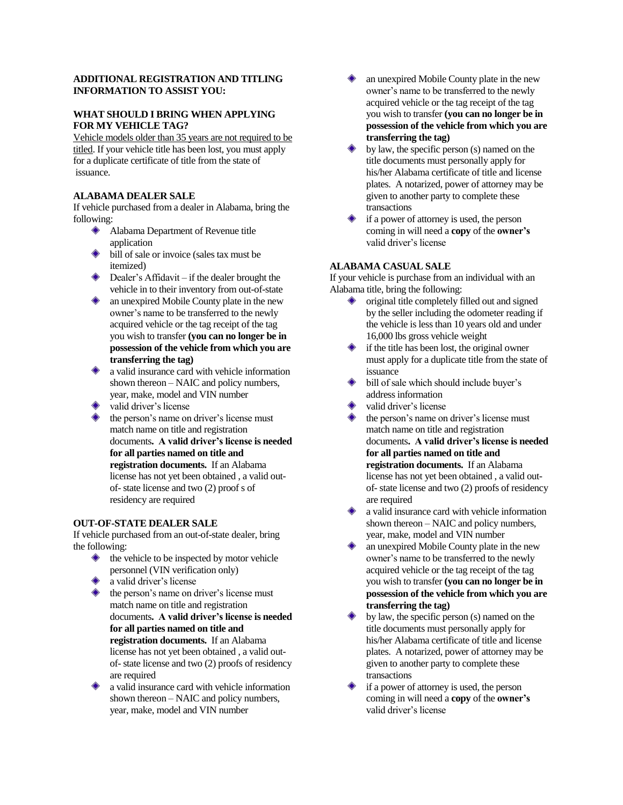## **ADDITIONAL REGISTRATION AND TITLING INFORMATION TO ASSIST YOU:**

# **WHAT SHOULD I BRING WHEN APPLYING FOR MY VEHICLE TAG?**

Vehicle models older than 35 years are not required to be titled. If your vehicle title has been lost, you must apply for a duplicate certificate of title from the state of issuance.

## **ALABAMA DEALER SALE**

If vehicle purchased from a dealer in Alabama, bring the following:

- Alabama Department of Revenue title application
- bill of sale or invoice (sales tax must be itemized)
- ◆ Dealer's Affidavit if the dealer brought the vehicle in to their inventory from out-of-state
- **a** an unexpired Mobile County plate in the new owner's name to be transferred to the newly acquired vehicle or the tag receipt of the tag you wish to transfer **(you can no longer be in possession of the vehicle from which you are transferring the tag)**
- a valid insurance card with vehicle information shown thereon – NAIC and policy numbers, year, make, model and VIN number
- valid driver's license
- the person's name on driver's license must match name on title and registration documents**. A valid driver's license is needed for all parties named on title and registration documents.** If an Alabama license has not yet been obtained , a valid outof- state license and two (2) proof s of residency are required

## **OUT-OF-STATE DEALER SALE**

If vehicle purchased from an out-of-state dealer, bring the following:

- $\triangle$  the vehicle to be inspected by motor vehicle personnel (VIN verification only)
- a valid driver's license
- the person's name on driver's license must match name on title and registration documents**. A valid driver's license is needed for all parties named on title and registration documents.** If an Alabama license has not yet been obtained , a valid outof- state license and two (2) proofs of residency are required
- a valid insurance card with vehicle information shown thereon – NAIC and policy numbers, year, make, model and VIN number
- an unexpired Mobile County plate in the new owner's name to be transferred to the newly acquired vehicle or the tag receipt of the tag you wish to transfer **(you can no longer be in possession of the vehicle from which you are transferring the tag)**
- by law, the specific person (s) named on the title documents must personally apply for his/her Alabama certificate of title and license plates. A notarized, power of attorney may be given to another party to complete these transactions
- if a power of attorney is used, the person coming in will need a **copy** of the **owner's** valid driver's license

### **ALABAMA CASUAL SALE**

If your vehicle is purchase from an individual with an Alabama title, bring the following:

- $\bullet$  original title completely filled out and signed by the seller including the odometer reading if the vehicle is less than 10 years old and under 16,000 lbs gross vehicle weight
- if the title has been lost, the original owner must apply for a duplicate title from the state of issuance
- bill of sale which should include buyer's address information
- valid driver's license
- the person's name on driver's license must match name on title and registration documents**. A valid driver's license is needed for all parties named on title and registration documents.** If an Alabama license has not yet been obtained , a valid outof- state license and two (2) proofs of residency are required
- a valid insurance card with vehicle information shown thereon – NAIC and policy numbers, year, make, model and VIN number
- an unexpired Mobile County plate in the new owner's name to be transferred to the newly acquired vehicle or the tag receipt of the tag you wish to transfer **(you can no longer be in possession of the vehicle from which you are transferring the tag)**
- by law, the specific person (s) named on the title documents must personally apply for his/her Alabama certificate of title and license plates. A notarized, power of attorney may be given to another party to complete these transactions
- if a power of attorney is used, the person coming in will need a **copy** of the **owner's** valid driver's license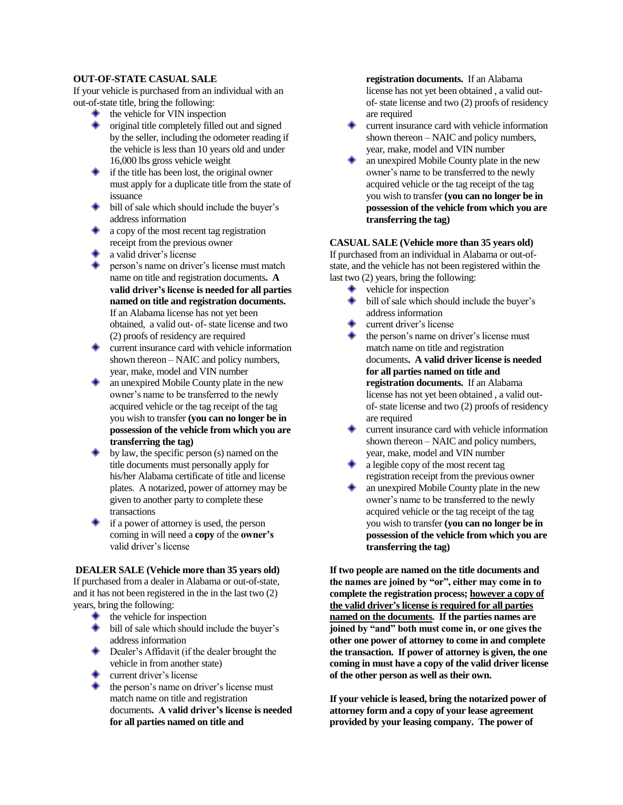### **OUT-OF-STATE CASUAL SALE**

If your vehicle is purchased from an individual with an out-of-state title, bring the following:

- the vehicle for VIN inspection
- original title completely filled out and signed by the seller, including the odometer reading if the vehicle is less than 10 years old and under 16,000 lbs gross vehicle weight
- if the title has been lost, the original owner must apply for a duplicate title from the state of issuance
- bill of sale which should include the buyer's address information
- a copy of the most recent tag registration receipt from the previous owner
- a valid driver's license
- person's name on driver's license must match name on title and registration documents**. A valid driver's license is needed for all parties named on title and registration documents.**  If an Alabama license has not yet been obtained, a valid out- of- state license and two (2) proofs of residency are required
- current insurance card with vehicle information shown thereon – NAIC and policy numbers, year, make, model and VIN number
- an unexpired Mobile County plate in the new owner's name to be transferred to the newly acquired vehicle or the tag receipt of the tag you wish to transfer **(you can no longer be in possession of the vehicle from which you are transferring the tag)**
- by law, the specific person (s) named on the title documents must personally apply for his/her Alabama certificate of title and license plates. A notarized, power of attorney may be given to another party to complete these transactions
- if a power of attorney is used, the person coming in will need a **copy** of the **owner's** valid driver's license

**DEALER SALE (Vehicle more than 35 years old)** If purchased from a dealer in Alabama or out-of-state, and it has not been registered in the in the last two (2) years, bring the following:

- the vehicle for inspection
- bill of sale which should include the buyer's address information
- **Dealer's Affidavit (if the dealer brought the** vehicle in from another state)
- current driver's license
- the person's name on driver's license must match name on title and registration documents**. A valid driver's license is needed for all parties named on title and**

**registration documents.** If an Alabama license has not yet been obtained , a valid outof- state license and two (2) proofs of residency are required

- current insurance card with vehicle information shown thereon – NAIC and policy numbers, year, make, model and VIN number
- an unexpired Mobile County plate in the new owner's name to be transferred to the newly acquired vehicle or the tag receipt of the tag you wish to transfer **(you can no longer be in possession of the vehicle from which you are transferring the tag)**

## **CASUAL SALE (Vehicle more than 35 years old)**

If purchased from an individual in Alabama or out-ofstate, and the vehicle has not been registered within the last two (2) years, bring the following:

- vehicle for inspection
- bill of sale which should include the buyer's address information
- current driver's license
- the person's name on driver's license must match name on title and registration documents**. A valid driver license is needed for all parties named on title and registration documents.** If an Alabama license has not yet been obtained , a valid outof- state license and two (2) proofs of residency are required
- current insurance card with vehicle information shown thereon – NAIC and policy numbers, year, make, model and VIN number
- a legible copy of the most recent tag registration receipt from the previous owner
- an unexpired Mobile County plate in the new owner's name to be transferred to the newly acquired vehicle or the tag receipt of the tag you wish to transfer **(you can no longer be in possession of the vehicle from which you are transferring the tag)**

**If two people are named on the title documents and the names are joined by "or", either may come in to complete the registration process; however a copy of the valid driver's license is required for all parties named on the documents. If the parties names are joined by "and" both must come in, or one gives the other one power of attorney to come in and complete the transaction. If power of attorney is given, the one coming in must have a copy of the valid driver license of the other person as well as their own.** 

**If your vehicle is leased, bring the notarized power of attorney form and a copy of your lease agreement provided by your leasing company. The power of**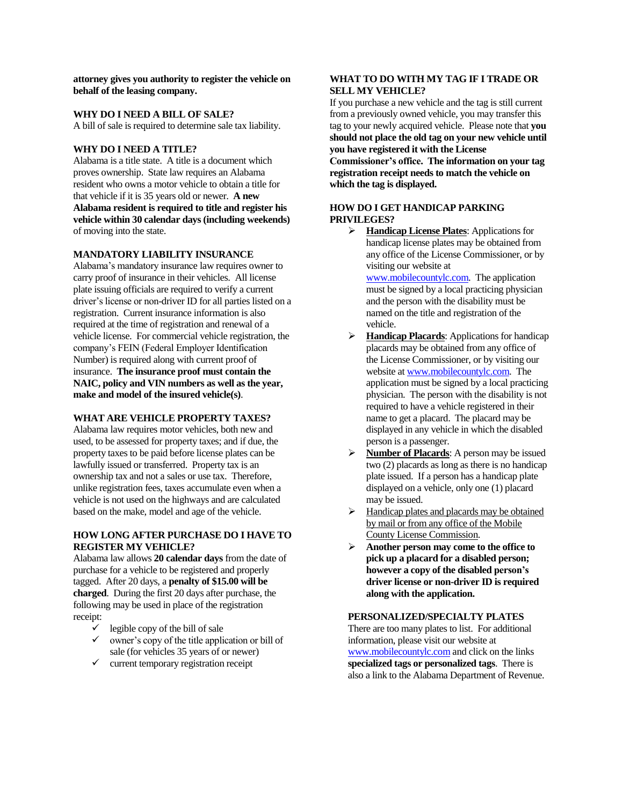**attorney gives you authority to register the vehicle on behalf of the leasing company.**

### **WHY DO I NEED A BILL OF SALE?**

A bill of sale is required to determine sale tax liability.

#### **WHY DO I NEED A TITLE?**

Alabama is a title state. A title is a document which proves ownership. State law requires an Alabama resident who owns a motor vehicle to obtain a title for that vehicle if it is 35 years old or newer. **A new Alabama resident is required to title and register his vehicle within 30 calendar days (including weekends)** of moving into the state.

### **MANDATORY LIABILITY INSURANCE**

Alabama's mandatory insurance law requires owner to carry proof of insurance in their vehicles. All license plate issuing officials are required to verify a current driver's license or non-driver ID for all parties listed on a registration. Current insurance information is also required at the time of registration and renewal of a vehicle license. For commercial vehicle registration, the company's FEIN (Federal Employer Identification Number) is required along with current proof of insurance. **The insurance proof must contain the NAIC, policy and VIN numbers as well as the year, make and model of the insured vehicle(s)**.

#### **WHAT ARE VEHICLE PROPERTY TAXES?**

Alabama law requires motor vehicles, both new and used, to be assessed for property taxes; and if due, the property taxes to be paid before license plates can be lawfully issued or transferred. Property tax is an ownership tax and not a sales or use tax. Therefore, unlike registration fees, taxes accumulate even when a vehicle is not used on the highways and are calculated based on the make, model and age of the vehicle.

### **HOW LONG AFTER PURCHASE DO I HAVE TO REGISTER MY VEHICLE?**

Alabama law allows **20 calendar days** from the date of purchase for a vehicle to be registered and properly tagged. After 20 days, a **penalty of \$15.00 will be charged**. During the first 20 days after purchase, the following may be used in place of the registration receipt:

- $\checkmark$  legible copy of the bill of sale
- $\checkmark$  owner's copy of the title application or bill of sale (for vehicles 35 years of or newer)
- $\checkmark$  current temporary registration receipt

## **WHAT TO DO WITH MY TAG IF I TRADE OR SELL MY VEHICLE?**

If you purchase a new vehicle and the tag is still current from a previously owned vehicle, you may transfer this tag to your newly acquired vehicle. Please note that **you should not place the old tag on your new vehicle until you have registered it with the License Commissioner's office. The information on your tag registration receipt needs to match the vehicle on which the tag is displayed.**

#### **HOW DO I GET HANDICAP PARKING PRIVILEGES?**

 **Handicap License Plates**: Applications for handicap license plates may be obtained from any office of the License Commissioner, or by visiting our website at

[www.mobilecountylc.com.](http://www.mobilecountylc.com/) The application must be signed by a local practicing physician and the person with the disability must be named on the title and registration of the vehicle.

- **Handicap Placards**: Applications for handicap placards may be obtained from any office of the License Commissioner, or by visiting our website a[t www.mobilecountylc.com.](http://www.mobilecountylc.com/) The application must be signed by a local practicing physician. The person with the disability is not required to have a vehicle registered in their name to get a placard. The placard may be displayed in any vehicle in which the disabled person is a passenger.
- **Number of Placards:** A person may be issued two (2) placards as long as there is no handicap plate issued. If a person has a handicap plate displayed on a vehicle, only one (1) placard may be issued.
- $\triangleright$  Handicap plates and placards may be obtained by mail or from any office of the Mobile County License Commission.
- **Another person may come to the office to pick up a placard for a disabled person; however a copy of the disabled person's driver license or non-driver ID is required along with the application.**

### **PERSONALIZED/SPECIALTY PLATES**

There are too many plates to list. For additional information, please visit our website at [www.mobilecountylc.com](http://www.mobilecountylc.com/) and click on the links **specialized tags or personalized tags**. There is also a link to the Alabama Department of Revenue.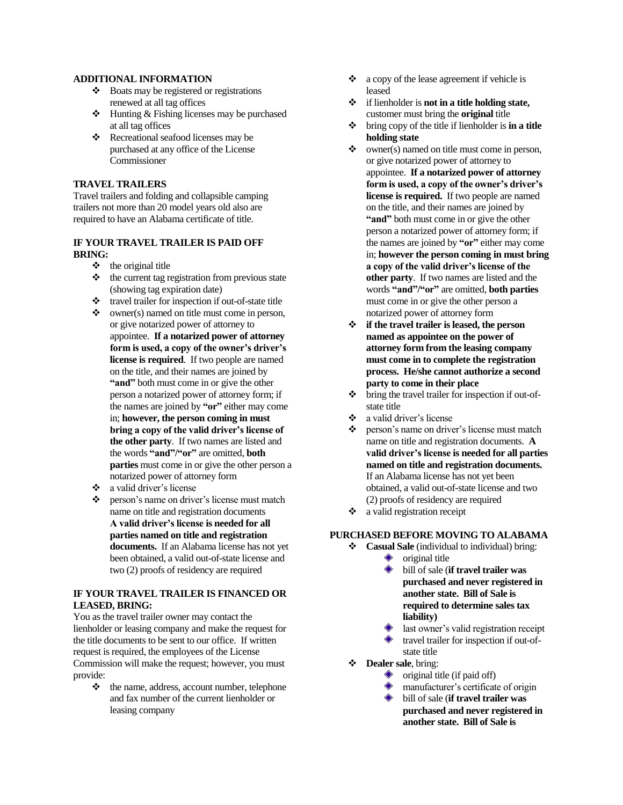### **ADDITIONAL INFORMATION**

- $\div$  Boats may be registered or registrations renewed at all tag offices
- $\triangle$  Hunting & Fishing licenses may be purchased at all tag offices
- Recreational seafood licenses may be purchased at any office of the License Commissioner

# **TRAVEL TRAILERS**

Travel trailers and folding and collapsible camping trailers not more than 20 model years old also are required to have an Alabama certificate of title.

### **IF YOUR TRAVEL TRAILER IS PAID OFF BRING:**

- $\triangleleft$  the original title
- $\triangleleft$  the current tag registration from previous state (showing tag expiration date)
- travel trailer for inspection if out-of-state title
- $\bullet$  owner(s) named on title must come in person, or give notarized power of attorney to appointee. **If a notarized power of attorney form is used, a copy of the owner's driver's license is required**. If two people are named on the title, and their names are joined by **"and"** both must come in or give the other person a notarized power of attorney form; if the names are joined by **"or"** either may come in; **however, the person coming in must bring a copy of the valid driver's license of the other party**. If two names are listed and the words **"and"/"or"** are omitted, **both parties** must come in or give the other person a notarized power of attorney form
- a valid driver's license
- ❖ person's name on driver's license must match name on title and registration documents **A valid driver's license is needed for all parties named on title and registration documents.** If an Alabama license has not yet been obtained, a valid out-of-state license and two (2) proofs of residency are required

### **IF YOUR TRAVEL TRAILER IS FINANCED OR LEASED, BRING:**

You as the travel trailer owner may contact the lienholder or leasing company and make the request for the title documents to be sent to our office. If written request is required, the employees of the License Commission will make the request; however, you must provide:

 $\triangle$  the name, address, account number, telephone and fax number of the current lienholder or leasing company

- $\bullet$  a copy of the lease agreement if vehicle is leased
- if lienholder is **not in a title holding state,**  customer must bring the **original** title
- bring copy of the title if lienholder is **in a title holding state**
- $\bullet$  owner(s) named on title must come in person, or give notarized power of attorney to appointee. **If a notarized power of attorney form is used, a copy of the owner's driver's license is required.** If two people are named on the title, and their names are joined by **"and"** both must come in or give the other person a notarized power of attorney form; if the names are joined by **"or"** either may come in; **however the person coming in must bring a copy of the valid driver's license of the other party**. If two names are listed and the words **"and"/"or"** are omitted, **both parties** must come in or give the other person a notarized power of attorney form
- **if the travel trailer is leased, the person named as appointee on the power of attorney form from the leasing company must come in to complete the registration process. He/she cannot authorize a second party to come in their place**
- bring the travel trailer for inspection if out-ofstate title
- a valid driver's license
- \* person's name on driver's license must match name on title and registration documents. **A valid driver's license is needed for all parties named on title and registration documents.** If an Alabama license has not yet been obtained, a valid out-of-state license and two (2) proofs of residency are required
- $\bullet$  a valid registration receipt

## **PURCHASED BEFORE MOVING TO ALABAMA**

- **Casual Sale** (individual to individual) bring:
	- ۰ original title bill of sale (**if travel trailer was purchased and never registered in another state. Bill of Sale is required to determine sales tax liability)**
	- last owner's valid registration receipt travel trailer for inspection if out-ofstate title
- **Dealer sale**, bring:
	- original title (if paid off)
	- manufacturer's certificate of origin
	- bill of sale (**if travel trailer was purchased and never registered in another state. Bill of Sale is**